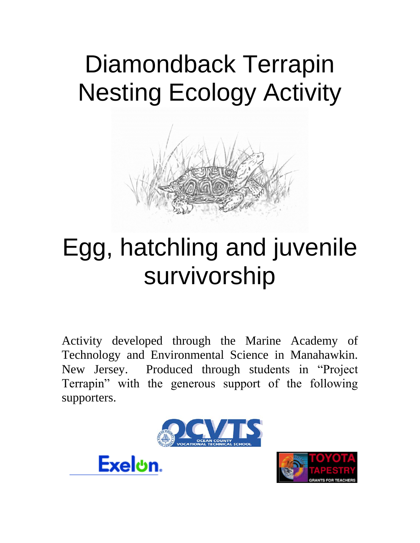# Diamondback Terrapin Nesting Ecology Activity



## Egg, hatchling and juvenile survivorship

Activity developed through the Marine Academy of Technology and Environmental Science in Manahawkin. New Jersey. Produced through students in "Project Terrapin" with the generous support of the following supporters.





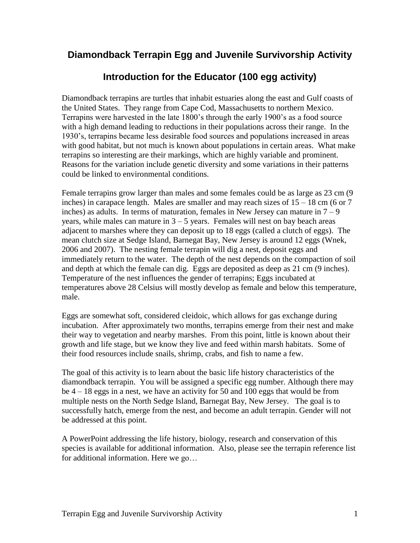### **Diamondback Terrapin Egg and Juvenile Survivorship Activity**

## **Introduction for the Educator (100 egg activity)**

Diamondback terrapins are turtles that inhabit estuaries along the east and Gulf coasts of the United States. They range from Cape Cod, Massachusetts to northern Mexico. Terrapins were harvested in the late 1800's through the early 1900's as a food source with a high demand leading to reductions in their populations across their range. In the 1930's, terrapins became less desirable food sources and populations increased in areas with good habitat, but not much is known about populations in certain areas. What make terrapins so interesting are their markings, which are highly variable and prominent. Reasons for the variation include genetic diversity and some variations in their patterns could be linked to environmental conditions.

Female terrapins grow larger than males and some females could be as large as 23 cm (9 inches) in carapace length. Males are smaller and may reach sizes of  $15 - 18$  cm (6 or 7 inches) as adults. In terms of maturation, females in New Jersey can mature in  $7 - 9$ years, while males can mature in  $3 - 5$  years. Females will nest on bay beach areas adjacent to marshes where they can deposit up to 18 eggs (called a clutch of eggs). The mean clutch size at Sedge Island, Barnegat Bay, New Jersey is around 12 eggs (Wnek, 2006 and 2007). The nesting female terrapin will dig a nest, deposit eggs and immediately return to the water. The depth of the nest depends on the compaction of soil and depth at which the female can dig. Eggs are deposited as deep as 21 cm (9 inches). Temperature of the nest influences the gender of terrapins; Eggs incubated at temperatures above 28 Celsius will mostly develop as female and below this temperature, male.

Eggs are somewhat soft, considered cleidoic, which allows for gas exchange during incubation. After approximately two months, terrapins emerge from their nest and make their way to vegetation and nearby marshes. From this point, little is known about their growth and life stage, but we know they live and feed within marsh habitats. Some of their food resources include snails, shrimp, crabs, and fish to name a few.

The goal of this activity is to learn about the basic life history characteristics of the diamondback terrapin. You will be assigned a specific egg number. Although there may be 4 – 18 eggs in a nest, we have an activity for 50 and 100 eggs that would be from multiple nests on the North Sedge Island, Barnegat Bay, New Jersey. The goal is to successfully hatch, emerge from the nest, and become an adult terrapin. Gender will not be addressed at this point.

A PowerPoint addressing the life history, biology, research and conservation of this species is available for additional information. Also, please see the terrapin reference list for additional information. Here we go…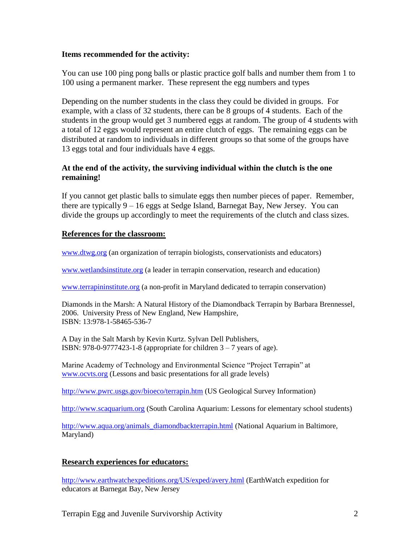#### **Items recommended for the activity:**

You can use 100 ping pong balls or plastic practice golf balls and number them from 1 to 100 using a permanent marker. These represent the egg numbers and types

Depending on the number students in the class they could be divided in groups. For example, with a class of 32 students, there can be 8 groups of 4 students. Each of the students in the group would get 3 numbered eggs at random. The group of 4 students with a total of 12 eggs would represent an entire clutch of eggs. The remaining eggs can be distributed at random to individuals in different groups so that some of the groups have 13 eggs total and four individuals have 4 eggs.

#### **At the end of the activity, the surviving individual within the clutch is the one remaining!**

If you cannot get plastic balls to simulate eggs then number pieces of paper. Remember, there are typically 9 – 16 eggs at Sedge Island, Barnegat Bay, New Jersey. You can divide the groups up accordingly to meet the requirements of the clutch and class sizes.

#### **References for the classroom:**

[www.dtwg.org](http://www.dtwg.org/) (an organization of terrapin biologists, conservationists and educators)

[www.wetlandsinstitute.org](http://www.wetlandsinstitute.org/) (a leader in terrapin conservation, research and education)

[www.terrapininstitute.org](http://www.terrapininstitute.org/) (a non-profit in Maryland dedicated to terrapin conservation)

Diamonds in the Marsh: A Natural History of the Diamondback Terrapin by Barbara Brennessel, 2006. University Press of New England, New Hampshire, ISBN: 13:978-1-58465-536-7

A Day in the Salt Marsh by Kevin Kurtz. Sylvan Dell Publishers, ISBN:  $978-0-9777423-1-8$  (appropriate for children  $3-7$  years of age).

Marine Academy of Technology and Environmental Science "Project Terrapin" at [www.ocvts.org](http://www.ocvts.org/) (Lessons and basic presentations for all grade levels)

<http://www.pwrc.usgs.gov/bioeco/terrapin.htm> (US Geological Survey Information)

[http://www.scaquarium.org](http://www.scaquarium.org/) (South Carolina Aquarium: Lessons for elementary school students)

[http://www.aqua.org/animals\\_diamondbackterrapin.html](http://www.aqua.org/animals_diamondbackterrapin.html) (National Aquarium in Baltimore, Maryland)

#### **Research experiences for educators:**

<http://www.earthwatchexpeditions.org/US/exped/avery.html> (EarthWatch expedition for educators at Barnegat Bay, New Jersey

Terrapin Egg and Juvenile Survivorship Activity 2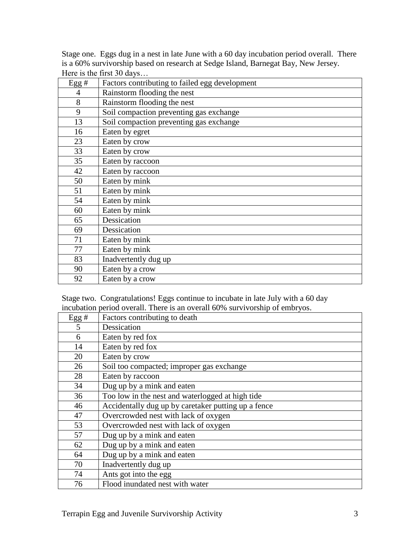Stage one. Eggs dug in a nest in late June with a 60 day incubation period overall. There is a 60% survivorship based on research at Sedge Island, Barnegat Bay, New Jersey. Here is the first 30 days…

| Egg# | Factors contributing to failed egg development |
|------|------------------------------------------------|
| 4    | Rainstorm flooding the nest                    |
| 8    | Rainstorm flooding the nest                    |
| 9    | Soil compaction preventing gas exchange        |
| 13   | Soil compaction preventing gas exchange        |
| 16   | Eaten by egret                                 |
| 23   | Eaten by crow                                  |
| 33   | Eaten by crow                                  |
| 35   | Eaten by raccoon                               |
| 42   | Eaten by raccoon                               |
| 50   | Eaten by mink                                  |
| 51   | Eaten by mink                                  |
| 54   | Eaten by mink                                  |
| 60   | Eaten by mink                                  |
| 65   | Dessication                                    |
| 69   | Dessication                                    |
| 71   | Eaten by mink                                  |
| 77   | Eaten by mink                                  |
| 83   | Inadvertently dug up                           |
| 90   | Eaten by a crow                                |
| 92   | Eaten by a crow                                |

Stage two. Congratulations! Eggs continue to incubate in late July with a 60 day incubation period overall. There is an overall 60% survivorship of embryos.

| Egg# | Factors contributing to death                       |
|------|-----------------------------------------------------|
| 5    | Dessication                                         |
| 6    | Eaten by red fox                                    |
| 14   | Eaten by red fox                                    |
| 20   | Eaten by crow                                       |
| 26   | Soil too compacted; improper gas exchange           |
| 28   | Eaten by raccoon                                    |
| 34   | Dug up by a mink and eaten                          |
| 36   | Too low in the nest and waterlogged at high tide    |
| 46   | Accidentally dug up by caretaker putting up a fence |
| 47   | Overcrowded nest with lack of oxygen                |
| 53   | Overcrowded nest with lack of oxygen                |
| 57   | Dug up by a mink and eaten                          |
| 62   | Dug up by a mink and eaten                          |
| 64   | Dug up by a mink and eaten                          |
| 70   | Inadvertently dug up                                |
| 74   | Ants got into the egg                               |
| 76   | Flood inundated nest with water                     |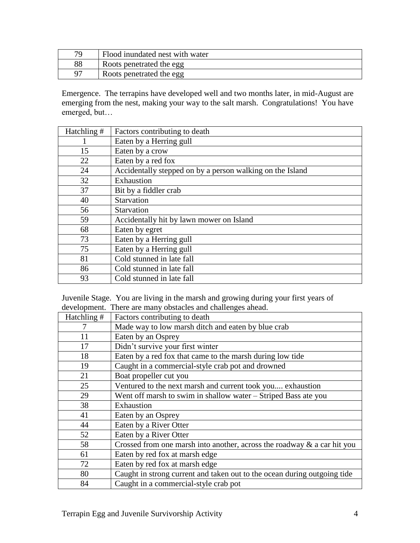| 70 | Flood inundated nest with water |
|----|---------------------------------|
| 88 | Roots penetrated the egg        |
| 97 | Roots penetrated the egg        |

Emergence. The terrapins have developed well and two months later, in mid-August are emerging from the nest, making your way to the salt marsh. Congratulations! You have emerged, but…

| Hatchling # | Factors contributing to death                             |
|-------------|-----------------------------------------------------------|
|             | Eaten by a Herring gull                                   |
| 15          | Eaten by a crow                                           |
| 22          | Eaten by a red fox                                        |
| 24          | Accidentally stepped on by a person walking on the Island |
| 32          | Exhaustion                                                |
| 37          | Bit by a fiddler crab                                     |
| 40          | Starvation                                                |
| 56          | Starvation                                                |
| 59          | Accidentally hit by lawn mower on Island                  |
| 68          | Eaten by egret                                            |
| 73          | Eaten by a Herring gull                                   |
| 75          | Eaten by a Herring gull                                   |
| 81          | Cold stunned in late fall                                 |
| 86          | Cold stunned in late fall                                 |
| 93          | Cold stunned in late fall                                 |

Juvenile Stage. You are living in the marsh and growing during your first years of development. There are many obstacles and challenges ahead.

| Hatchling # | Factors contributing to death                                            |
|-------------|--------------------------------------------------------------------------|
| 7           | Made way to low marsh ditch and eaten by blue crab                       |
| 11          | Eaten by an Osprey                                                       |
| 17          | Didn't survive your first winter                                         |
| 18          | Eaten by a red fox that came to the marsh during low tide                |
| 19          | Caught in a commercial-style crab pot and drowned                        |
| 21          | Boat propeller cut you                                                   |
| 25          | Ventured to the next marsh and current took you exhaustion               |
| 29          | Went off marsh to swim in shallow water – Striped Bass ate you           |
| 38          | Exhaustion                                                               |
| 41          | Eaten by an Osprey                                                       |
| 44          | Eaten by a River Otter                                                   |
| 52          | Eaten by a River Otter                                                   |
| 58          | Crossed from one marsh into another, across the roadway & a car hit you  |
| 61          | Eaten by red fox at marsh edge                                           |
| 72          | Eaten by red fox at marsh edge                                           |
| 80          | Caught in strong current and taken out to the ocean during outgoing tide |
| 84          | Caught in a commercial-style crab pot                                    |